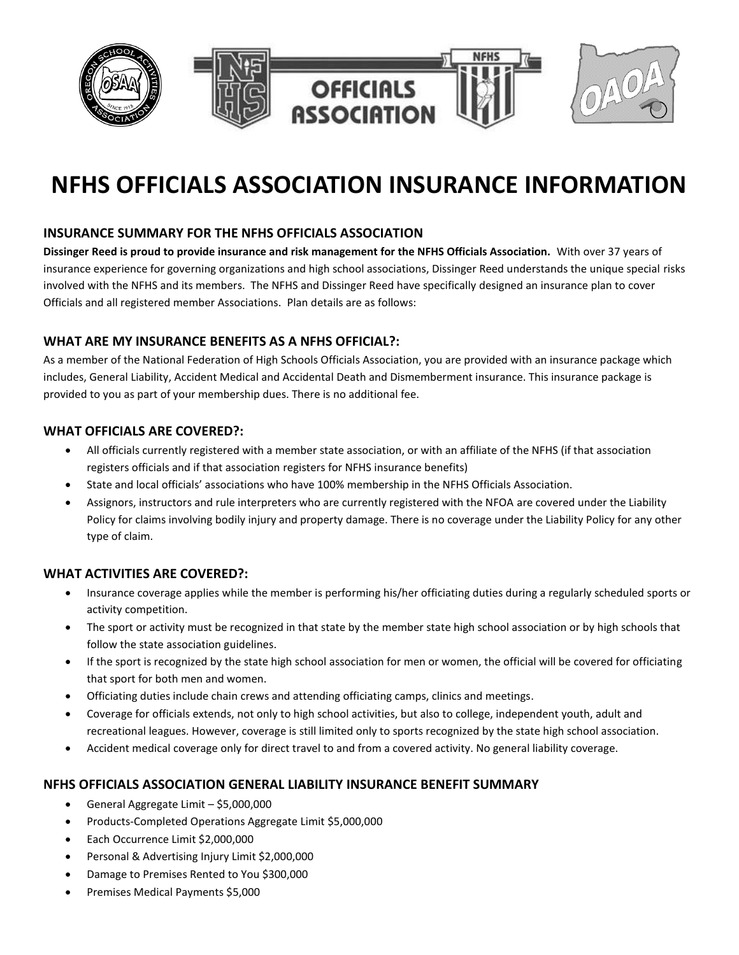

# **NFHS OFFICIALS ASSOCIATION INSURANCE INFORMATION**

# **INSURANCE SUMMARY FOR THE NFHS OFFICIALS ASSOCIATION**

**Dissinger Reed is proud to provide insurance and risk management for the NFHS Officials Association.** With over 37 years of insurance experience for governing organizations and high school associations, Dissinger Reed understands the unique special risks involved with the NFHS and its members. The NFHS and Dissinger Reed have specifically designed an insurance plan to cover Officials and all registered member Associations. Plan details are as follows:

## **WHAT ARE MY INSURANCE BENEFITS AS A NFHS OFFICIAL?:**

As a member of the National Federation of High Schools Officials Association, you are provided with an insurance package which includes, General Liability, Accident Medical and Accidental Death and Dismemberment insurance. This insurance package is provided to you as part of your membership dues. There is no additional fee.

### **WHAT OFFICIALS ARE COVERED?:**

- All officials currently registered with a member state association, or with an affiliate of the NFHS (if that association registers officials and if that association registers for NFHS insurance benefits)
- State and local officials' associations who have 100% membership in the NFHS Officials Association.
- Assignors, instructors and rule interpreters who are currently registered with the NFOA are covered under the Liability Policy for claims involving bodily injury and property damage. There is no coverage under the Liability Policy for any other type of claim.

### **WHAT ACTIVITIES ARE COVERED?:**

- Insurance coverage applies while the member is performing his/her officiating duties during a regularly scheduled sports or activity competition.
- The sport or activity must be recognized in that state by the member state high school association or by high schools that follow the state association guidelines.
- If the sport is recognized by the state high school association for men or women, the official will be covered for officiating that sport for both men and women.
- Officiating duties include chain crews and attending officiating camps, clinics and meetings.
- Coverage for officials extends, not only to high school activities, but also to college, independent youth, adult and recreational leagues. However, coverage is still limited only to sports recognized by the state high school association.
- Accident medical coverage only for direct travel to and from a covered activity. No general liability coverage.

### **NFHS OFFICIALS ASSOCIATION GENERAL LIABILITY INSURANCE BENEFIT SUMMARY**

- General Aggregate Limit \$5,000,000
- Products-Completed Operations Aggregate Limit \$5,000,000
- Each Occurrence Limit \$2,000,000
- Personal & Advertising Injury Limit \$2,000,000
- Damage to Premises Rented to You \$300,000
- Premises Medical Payments \$5,000